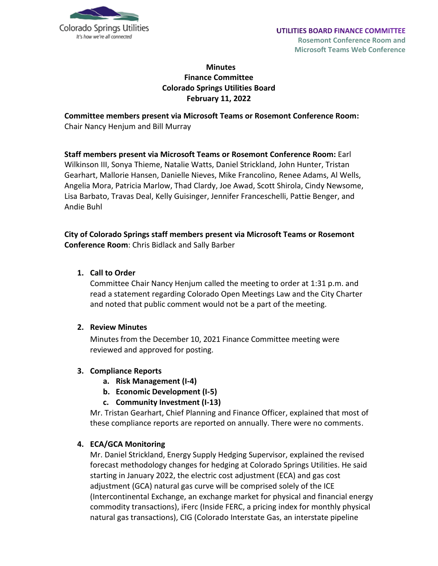

# **Minutes Finance Committee Colorado Springs Utilities Board February 11, 2022**

**Committee members present via Microsoft Teams or Rosemont Conference Room:** Chair Nancy Henjum and Bill Murray

**Staff members present via Microsoft Teams or Rosemont Conference Room:** Earl Wilkinson III, Sonya Thieme, Natalie Watts, Daniel Strickland, John Hunter, Tristan Gearhart, Mallorie Hansen, Danielle Nieves, Mike Francolino, Renee Adams, Al Wells, Angelia Mora, Patricia Marlow, Thad Clardy, Joe Awad, Scott Shirola, Cindy Newsome, Lisa Barbato, Travas Deal, Kelly Guisinger, Jennifer Franceschelli, Pattie Benger, and Andie Buhl

#### **City of Colorado Springs staff members present via Microsoft Teams or Rosemont Conference Room**: Chris Bidlack and Sally Barber

#### **1. Call to Order**

Committee Chair Nancy Henjum called the meeting to order at 1:31 p.m. and read a statement regarding Colorado Open Meetings Law and the City Charter and noted that public comment would not be a part of the meeting.

#### **2. Review Minutes**

Minutes from the December 10, 2021 Finance Committee meeting were reviewed and approved for posting.

## **3. Compliance Reports**

- **a. Risk Management (I-4)**
- **b. Economic Development (I-5)**
- **c. Community Investment (I-13)**

Mr. Tristan Gearhart, Chief Planning and Finance Officer, explained that most of these compliance reports are reported on annually. There were no comments.

#### **4. ECA/GCA Monitoring**

Mr. Daniel Strickland, Energy Supply Hedging Supervisor, explained the revised forecast methodology changes for hedging at Colorado Springs Utilities. He said starting in January 2022, the electric cost adjustment (ECA) and gas cost adjustment (GCA) natural gas curve will be comprised solely of the ICE (Intercontinental Exchange, an exchange market for physical and financial energy commodity transactions), iFerc (Inside FERC, a pricing index for monthly physical natural gas transactions), CIG (Colorado Interstate Gas, an interstate pipeline